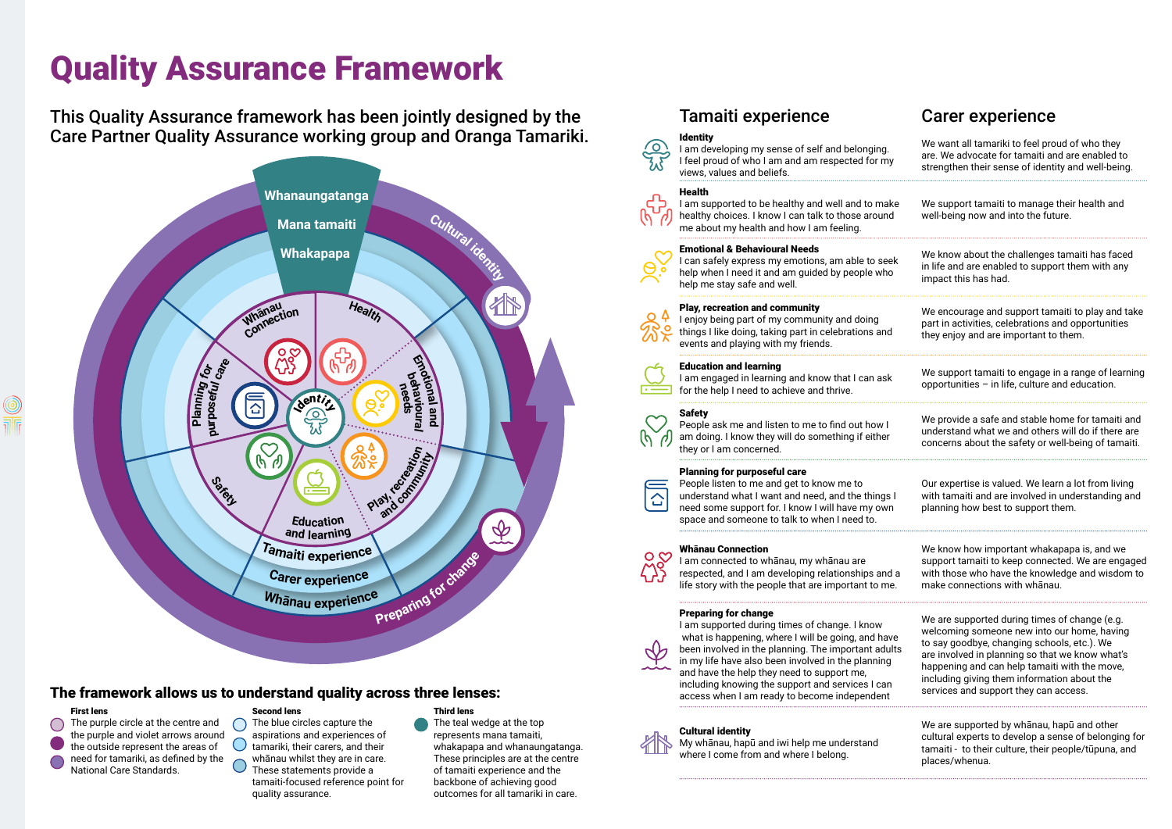# Quality Assurance Framework

This Quality Assurance framework has been jointly designed by the Care Partner Quality Assurance working group and Oranga Tamariki.



### The framework allows us to understand quality across three lenses:

 $\bigcap$ 

#### First lens

The purple circle at the centre and  $\bigcirc$ the purple and violet arrows around the outside represent the areas of need for tamariki, as defined by the National Care Standards.

#### Second lens

I am supported to be healthy and well and to make healthy choices. I know I can talk to those around me about my health and how I am feeling.

The blue circles capture the aspirations and experiences of **O** tamariki, their carers, and their whānau whilst they are in care. These statements provide a tamaiti-focused reference point for quality assurance.

I can safely express my emotions, am able to se help when I need it and am guided by people wh help me stay safe and well.

#### Third lens

The teal wedge at the top represents mana tamaiti, whakapapa and whanaungatanga. These principles are at the centre of tamaiti experience and the backbone of achieving good outcomes for all tamariki in care.

## Tamaiti experience Carer experience

I am engaged in learning and know that I can as for the help I need to achieve and thrive.



#### Identity



I am developing my sense of self and belonging. I feel proud of who I am and am respected for m views, values and beliefs.

#### **Health**



People ask me and listen to me to find out how am doing. I know they will do something if eithe they or I am concerned.

I am connected to whānau, my whānau are respected, and I am developing relationships an life story with the people that are important to m

#### Emotional & Behavioural Needs

I am supported during times of change. I know what is happening, where I will be going, and ha been involved in the planning. The important adults in my life have also been involved in the planning and have the help they need to support me, including knowing the support and services I can access when I am ready to become independent

#### Play, recreation and community



I enjoy being part of my community and doing things I like doing, taking part in celebrations and events and playing with my friends.

#### Education and learning

#### Safety

#### Planning for purposeful care

| ٦y                           | We want all tamariki to feel proud of who they<br>are. We advocate for tamaiti and are enabled to<br>strengthen their sense of identity and well-being.                                                                                                                                                                                 |
|------------------------------|-----------------------------------------------------------------------------------------------------------------------------------------------------------------------------------------------------------------------------------------------------------------------------------------------------------------------------------------|
| ake<br>١d                    | We support tamaiti to manage their health and<br>well-being now and into the future.                                                                                                                                                                                                                                                    |
| ek<br>10                     | We know about the challenges tamaiti has faced<br>in life and are enabled to support them with any<br>impact this has had.                                                                                                                                                                                                              |
| ıd                           | We encourage and support tamaiti to play and take<br>part in activities, celebrations and opportunities<br>they enjoy and are important to them.                                                                                                                                                                                        |
| ۱k                           | We support tamaiti to engage in a range of learning<br>opportunities - in life, culture and education.                                                                                                                                                                                                                                  |
| I<br>۱ľ.                     | We provide a safe and stable home for tamaiti and<br>understand what we and others will do if there are<br>concerns about the safety or well-being of tamaiti.                                                                                                                                                                          |
| s l<br>m                     | Our expertise is valued. We learn a lot from living<br>with tamaiti and are involved in understanding and<br>planning how best to support them.                                                                                                                                                                                         |
| ıd a<br>ne.                  | We know how important whakapapa is, and we<br>support tamaiti to keep connected. We are engaged<br>with those who have the knowledge and wisdom to<br>make connections with whanau.                                                                                                                                                     |
| ave<br>ults<br>g<br>ın<br>ıt | We are supported during times of change (e.g.<br>welcoming someone new into our home, having<br>to say goodbye, changing schools, etc.). We<br>are involved in planning so that we know what's<br>happening and can help tamaiti with the move,<br>including giving them information about the<br>services and support they can access. |
|                              | We are supported by whanau, hapu and other<br>cultural experts to develop a sense of belonging for<br>tamaiti - to their culture, their people/tūpuna, and<br>places/whenua.                                                                                                                                                            |
|                              |                                                                                                                                                                                                                                                                                                                                         |

People listen to me and get to know me to understand what I want and need, and the things need some support for. I know I will have my own space and someone to talk to when I need to.

#### Whānau Connection



 $\hat{L}$ 

#### Preparing for change



#### Cultural identity

My whānau, hapū and iwi help me understand where I come from and where I belong.